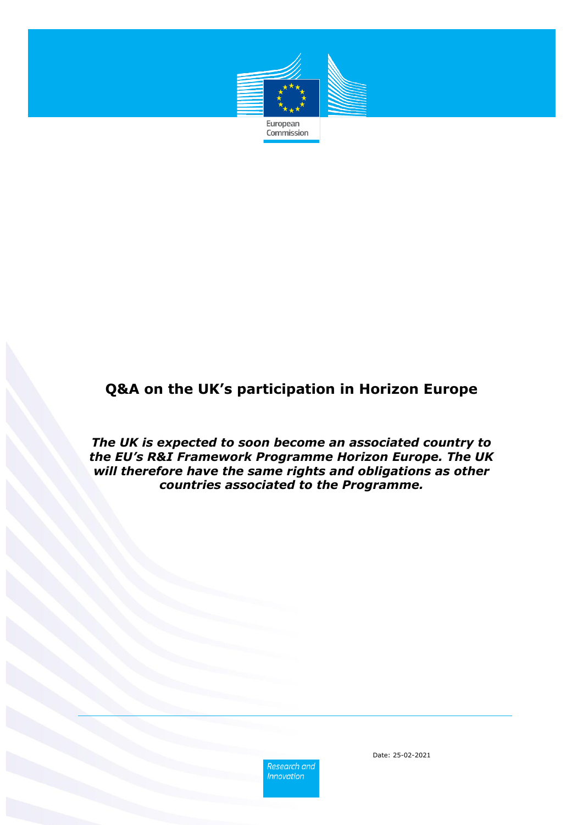

# **Q&A on the UK's participation in Horizon Europe**

*The UK is expected to soon become an associated country to the EU's R&I Framework Programme Horizon Europe. The UK will therefore have the same rights and obligations as other countries associated to the Programme.*

> Research and **Innovation**

Date: 25-02-2021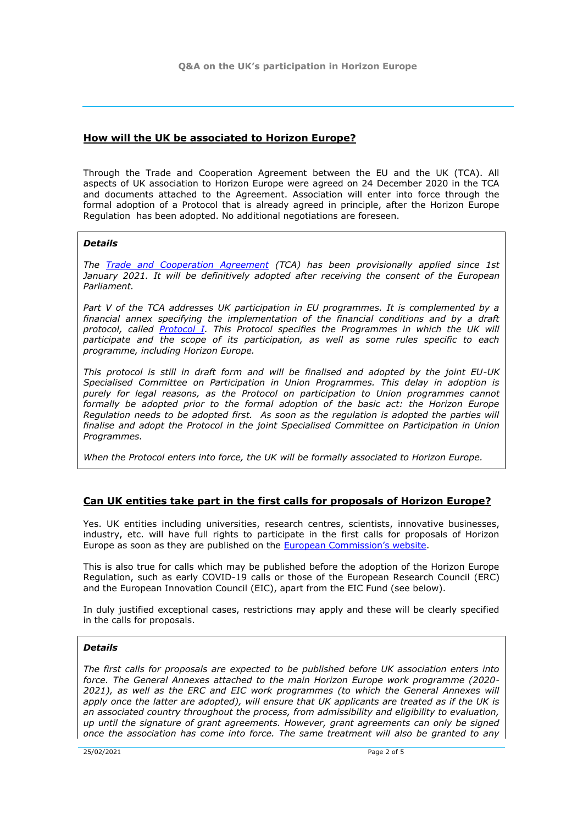## **How will the UK be associated to Horizon Europe?**

Through the Trade and Cooperation Agreement between the EU and the UK (TCA). All aspects of UK association to Horizon Europe were agreed on 24 December 2020 in the TCA and documents attached to the Agreement. Association will enter into force through the formal adoption of a Protocol that is already agreed in principle, after the Horizon Europe Regulation has been adopted. No additional negotiations are foreseen.

## *Details*

*The [Trade and Cooperation Agreement](https://eur-lex.europa.eu/legal-content/EN/TXT/?uri=uriserv:OJ.L_.2020.444.01.0014.01.ENG) (TCA) has been provisionally applied since 1st*  January 2021. It will be definitively adopted after receiving the consent of the European *Parliament.* 

*Part V of the TCA addresses UK participation in EU programmes. It is complemented by a financial annex specifying the implementation of the financial conditions and by a draft protocol, called [Protocol I.](https://eur-lex.europa.eu/legal-content/EN/TXT/?uri=uriserv:OJ.L_.2020.444.01.1475.01.ENG) This Protocol specifies the Programmes in which the UK will participate and the scope of its participation, as well as some rules specific to each programme, including Horizon Europe.* 

*This protocol is still in draft form and will be finalised and adopted by the joint EU-UK Specialised Committee on Participation in Union Programmes. This delay in adoption is purely for legal reasons, as the Protocol on participation to Union programmes cannot formally be adopted prior to the formal adoption of the basic act: the Horizon Europe*  Regulation needs to be adopted first. As soon as the regulation is adopted the parties will *finalise and adopt the Protocol in the joint Specialised Committee on Participation in Union Programmes.*

*When the Protocol enters into force, the UK will be formally associated to Horizon Europe.* 

## **Can UK entities take part in the first calls for proposals of Horizon Europe?**

Yes. UK entities including universities, research centres, scientists, innovative businesses, industry, etc. will have full rights to participate in the first calls for proposals of Horizon Europe as soon as they are published on the [European Commission's website](https://ec.europa.eu/info/funding-tenders/opportunities/portal/screen/opportunities/topic-search).

This is also true for calls which may be published before the adoption of the Horizon Europe Regulation, such as early COVID-19 calls or those of the European Research Council (ERC) and the European Innovation Council (EIC), apart from the EIC Fund (see below).

In duly justified exceptional cases, restrictions may apply and these will be clearly specified in the calls for proposals.

#### *Details*

*The first calls for proposals are expected to be published before UK association enters into force. The General Annexes attached to the main Horizon Europe work programme (2020- 2021), as well as the ERC and EIC work programmes (to which the General Annexes will apply once the latter are adopted), will ensure that UK applicants are treated as if the UK is an associated country throughout the process, from admissibility and eligibility to evaluation, up until the signature of grant agreements. However, grant agreements can only be signed once the association has come into force. The same treatment will also be granted to any*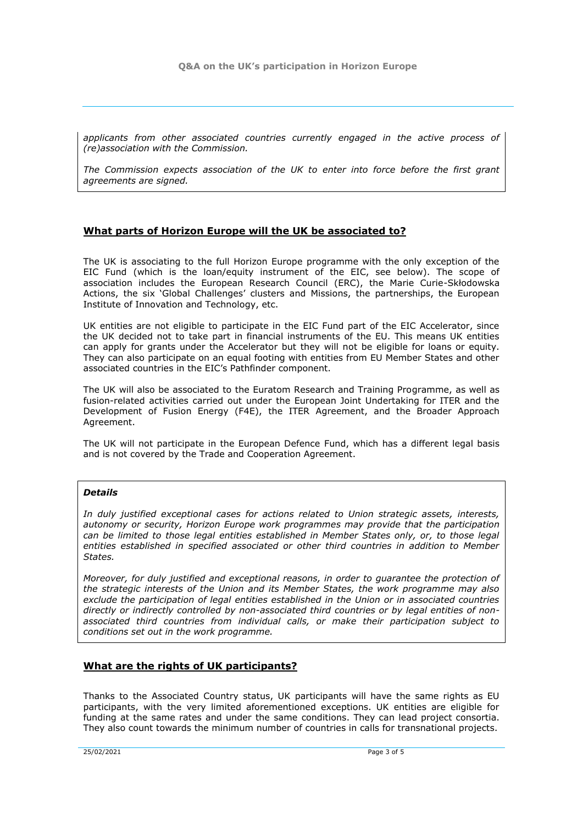*applicants from other associated countries currently engaged in the active process of (re)association with the Commission.*

*The Commission expects association of the UK to enter into force before the first grant agreements are signed.*

## **What parts of Horizon Europe will the UK be associated to?**

The UK is associating to the full Horizon Europe programme with the only exception of the EIC Fund (which is the loan/equity instrument of the EIC, see below). The scope of association includes the European Research Council (ERC), the Marie Curie-Skłodowska Actions, the six 'Global Challenges' clusters and Missions, the partnerships, the European Institute of Innovation and Technology, etc.

UK entities are not eligible to participate in the EIC Fund part of the EIC Accelerator, since the UK decided not to take part in financial instruments of the EU. This means UK entities can apply for grants under the Accelerator but they will not be eligible for loans or equity. They can also participate on an equal footing with entities from EU Member States and other associated countries in the EIC's Pathfinder component.

The UK will also be associated to the Euratom Research and Training Programme, as well as fusion-related activities carried out under the European Joint Undertaking for ITER and the Development of Fusion Energy (F4E), the ITER Agreement, and the Broader Approach Agreement.

The UK will not participate in the European Defence Fund, which has a different legal basis and is not covered by the Trade and Cooperation Agreement.

#### *Details*

*In duly justified exceptional cases for actions related to Union strategic assets, interests, autonomy or security, Horizon Europe work programmes may provide that the participation can be limited to those legal entities established in Member States only, or, to those legal entities established in specified associated or other third countries in addition to Member States.* 

*Moreover, for duly justified and exceptional reasons, in order to guarantee the protection of the strategic interests of the Union and its Member States, the work programme may also exclude the participation of legal entities established in the Union or in associated countries directly or indirectly controlled by non-associated third countries or by legal entities of nonassociated third countries from individual calls, or make their participation subject to conditions set out in the work programme.*

## **What are the rights of UK participants?**

Thanks to the Associated Country status, UK participants will have the same rights as EU participants, with the very limited aforementioned exceptions. UK entities are eligible for funding at the same rates and under the same conditions. They can lead project consortia. They also count towards the minimum number of countries in calls for transnational projects.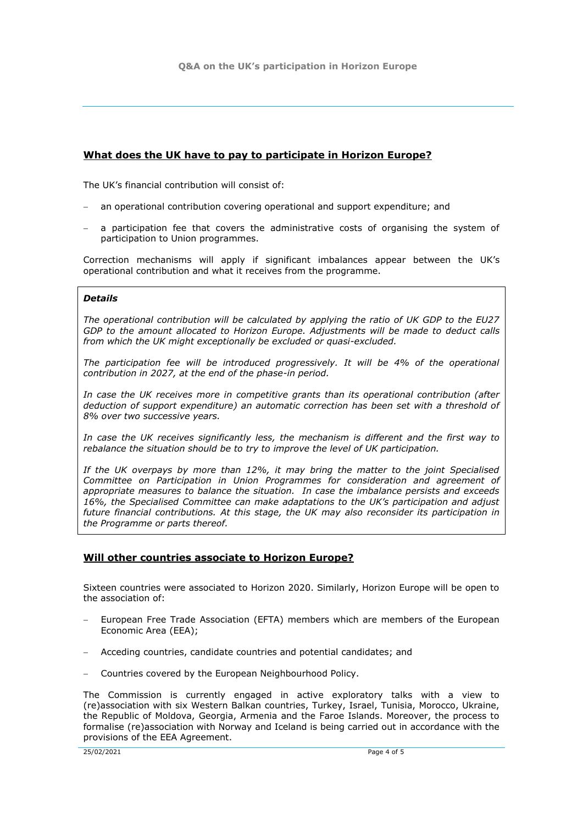# **What does the UK have to pay to participate in Horizon Europe?**

The UK's financial contribution will consist of:

- an operational contribution covering operational and support expenditure; and
- a participation fee that covers the administrative costs of organising the system of participation to Union programmes.

Correction mechanisms will apply if significant imbalances appear between the UK's operational contribution and what it receives from the programme.

#### *Details*

*The operational contribution will be calculated by applying the ratio of UK GDP to the EU27 GDP to the amount allocated to Horizon Europe. Adjustments will be made to deduct calls from which the UK might exceptionally be excluded or quasi-excluded.*

*The participation fee will be introduced progressively. It will be 4% of the operational contribution in 2027, at the end of the phase-in period.*

*In case the UK receives more in competitive grants than its operational contribution (after deduction of support expenditure) an automatic correction has been set with a threshold of 8% over two successive years.* 

*In case the UK receives significantly less, the mechanism is different and the first way to rebalance the situation should be to try to improve the level of UK participation.* 

*If the UK overpays by more than 12%, it may bring the matter to the joint Specialised Committee on Participation in Union Programmes for consideration and agreement of appropriate measures to balance the situation. In case the imbalance persists and exceeds 16%, the Specialised Committee can make adaptations to the UK's participation and adjust future financial contributions. At this stage, the UK may also reconsider its participation in the Programme or parts thereof.*

## **Will other countries associate to Horizon Europe?**

Sixteen countries were associated to Horizon 2020. Similarly, Horizon Europe will be open to the association of:

- European Free Trade Association (EFTA) members which are members of the European Economic Area (EEA);
- Acceding countries, candidate countries and potential candidates; and
- Countries covered by the European Neighbourhood Policy.

The Commission is currently engaged in active exploratory talks with a view to (re)association with six Western Balkan countries, Turkey, Israel, Tunisia, Morocco, Ukraine, the Republic of Moldova, Georgia, Armenia and the Faroe Islands. Moreover, the process to formalise (re)association with Norway and Iceland is being carried out in accordance with the provisions of the EEA Agreement.